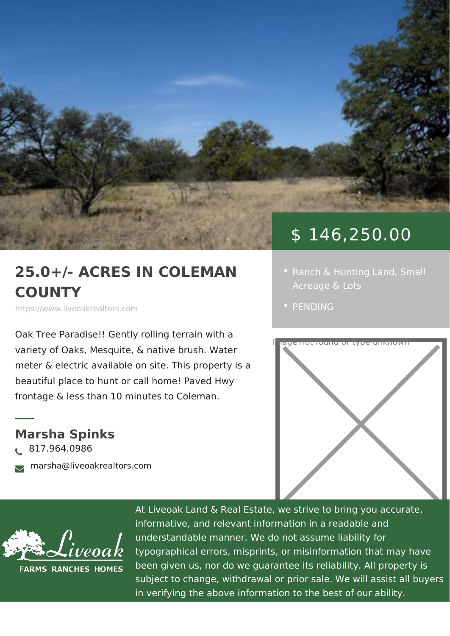## \$ 146,250.00

## 25.0+/- ACRES IN COLEM · [Ranch & Hunting](https://www.liveoakrealtors.com/es_category/ranch-hunting-land/) Small COUNTY

https://www.liveoakrealtors.com

Oak Tree Paradise!! Gently rolling terrain with a

meter & electric available on site. This property is a beautiful place to hunt or call home! Pated Hwy frontage & less than 10 minutes to Colenan.

Marsha Spinks ð• 817.964.0986 <sub>ðà</sub> marsha@liveoakrealtors.com

[PENDI](https://www.liveoakrealtors.com/es_status/pending/)NG



At Liveoak Land & Real Estate, we strive to brin informative, and relevant information in a reada understandable manner. We do not assume liabil typographical errors, misprints, or misinformatic been given us, nor do we guarantee its reliabilit subject to change, withdrawal or prior sale. We in verifying the above information to the best of